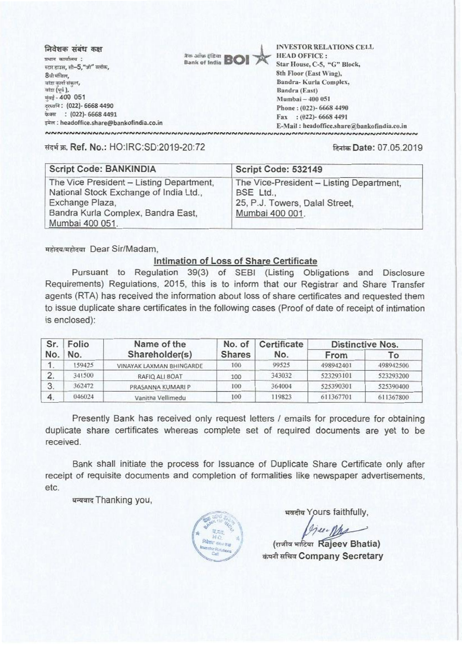निवेशक संबंध कक्ष .<br>प्रथान कार्यालय : स्टार हाउस, सी-5, "जी" व्लॉक. 8ेवी मंजिल, .<br>बांडा कर्ला संकल, बांदा (पर्व ), मुंबई - 400 051 दरध्वनि: (022)- 6668 4490 फेक्स: (022)- 6668 4491 डमेल : headoffice.share@bankofindia.co.in



**INVESTOR RELATIONS CELL HEAD OFFICE:** Star House, C-5, "G" Block, 8th Floor (East Wing), Bandra-Kurla Complex, Bandra (East) Mumbai - 400 051 Phone: (022)-6668 4490 Fax: (022)-6668 4491 E-Mail: headoffice.share@bankofindia.co.in 

संदर्भ क्र. Ref. No.: HO:IRC:SD:2019-20:72

दिनांक Date: 07.05.2019

| <b>Script Code: BANKINDIA</b>                                                                                                                                  | Script Code: 532149                                                                                        |
|----------------------------------------------------------------------------------------------------------------------------------------------------------------|------------------------------------------------------------------------------------------------------------|
| The Vice President - Listing Department,<br>National Stock Exchange of India Ltd.,<br>Exchange Plaza,<br>Bandra Kurla Complex, Bandra East,<br>Mumbai 400 051. | The Vice-President - Listing Department,<br>BSE Ltd.,<br>25, P.J. Towers, Dalal Street,<br>Mumbai 400 001. |

महोदय/महोदया Dear Sir/Madam.

## Intimation of Loss of Share Certificate

Pursuant to Regulation 39(3) of SEBI (Listing Obligations and Disclosure Requirements) Regulations, 2015, this is to inform that our Registrar and Share Transfer agents (RTA) has received the information about loss of share certificates and requested them to issue duplicate share certificates in the following cases (Proof of date of receipt of intimation is enclosed):

| Sr.<br>No. | Folio<br>No. | Name of the<br>Shareholder(s) | No. of<br><b>Shares</b> | Certificate<br>No. | <b>Distinctive Nos.</b> |           |
|------------|--------------|-------------------------------|-------------------------|--------------------|-------------------------|-----------|
|            |              |                               |                         |                    | From                    | To        |
|            | 59425        | VINAYAK LAXMAN BHINGARDE      | 100                     | 99525              | 498942401               | 498942500 |
| 2.         | 341500       | RAFIQ ALI BOAT                | 100                     | 343032             | 523293101               | 523293200 |
| 3.         | 362472       | PRASANNA KUMARI P             | 100                     | 364004             | 525390301               | 525390400 |
| 4.         | 046024       | Vanitha Vellimedu             | 100                     | 119823             | 611367701               | 611367800 |

Presently Bank has received only request letters / emails for procedure for obtaining duplicate share certificates whereas complete set of required documents are yet to be received.

Bank shall initiate the process for Issuance of Duplicate Share Certificate only after receipt of requisite documents and completion of formalities like newspaper advertisements. etc.

धन्यवाद Thanking you,



भवदीय Yours faithfully,

GreenMa

(राजीव भाटिया Rajeev Bhatia) कंपनी सचिव Company Secretary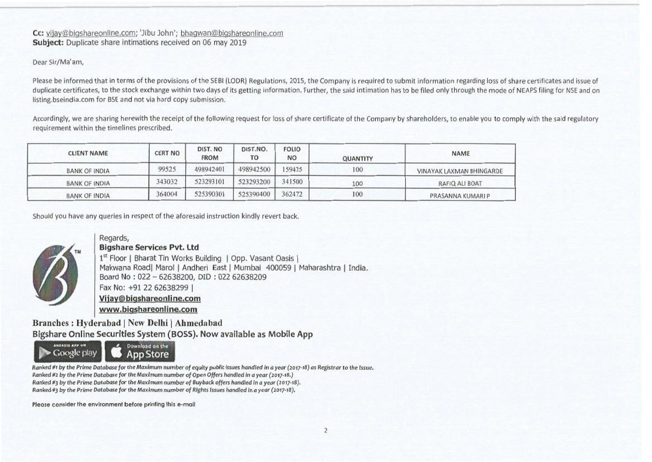## Cc: vijay@biqshareonline.com; 'Jibu John'; bhaqwan@biqshareonline.com **Subject:** Duplicate share intimations received on 06 may 2019

## Dear Sir/Ma'am,

Please be informed that in terms of the provisions of the SEBI (LODR) Regulations, 2015, the Company is required to submit information regarding loss of share certificates and issue of duplicate certificates, to the stock exchange within two days of its getting information. Further, the said intimation has to be filed only through the mode of NEAPS filing for NSE and on listing.bselndia.com for SSE and not via hard copy submission.

Accordingly, we are sharing herewith the receipt of the following request for loss of share certificate of the Company by shareholders, to enable you to comply with the said regulatory requirement within the timelines prescribed.

| <b>CLIENT NAME</b>   | <b>CERT NO</b> | DIST. NO<br><b>FROM</b> | DIST.NO.<br>то | <b>FOLIO</b><br><b>NO</b> | <b>QUANTITY</b> | NAME                     |
|----------------------|----------------|-------------------------|----------------|---------------------------|-----------------|--------------------------|
| BANK OF INDIA        | 99525          | 498942401               | 498942500      | 159425                    | 100             | VINAYAK LAXMAN BHINGARDE |
| <b>BANK OF INDIA</b> | 343032         | 523293101               | 523293200      | 341500                    | 100             | RAFIQ ALI BOAT           |
| <b>BANK OF INDIA</b> | 364004         | 525390301               | 525390400      | 362472                    | 100             | PRASANNA KUMARI P        |

Should you have any queries in respect of the aforesaid instruction kindly revert back.



## Regards, **Bigshare Services Pvt. Ltd**

1<sup>st</sup> Floor | Bharat Tin Works Building | Opp. Vasant Oasis Makwana Road| Marol | Andheri East | Mumbai 400059 | Maharashtra | India. Board No : 022 — 62638200, DID : 022 62638209 Fax No: +91 22 62638299 **VijavObiashareonline.com www.biashareonline.com**

**Branches : Hyderabad I New Delhi I Ahmedabad Bigshare Online Securities System** (BOSS). Now available as Mobile App



*Ranked #t by the Prime Database for the Maximum number of equity public issues handled in a year (2017-18) as Registrar to the Issue. Ranked #2 by the Prime Database for the Maximum number* of *Open Offers handled in a year (2o17-18.) Ranked 03 by the Prime* Database for *the Maximum number* of *Buyback offers handled in a year* (201748). *Ranked rig by the Prime Database for the Maximum number of Rights Issues bandied in a year (2017-18).* 

Please consider the environment before printing this e-mail